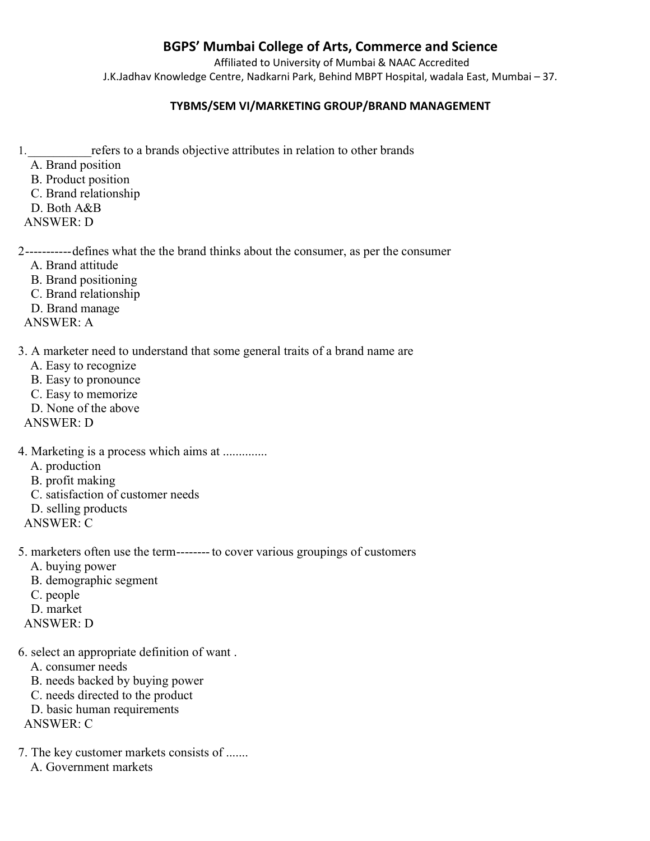## BGPS' Mumbai College of Arts, Commerce and Science

Affiliated to University of Mumbai & NAAC Accredited J.K.Jadhav Knowledge Centre, Nadkarni Park, Behind MBPT Hospital, wadala East, Mumbai – 37.

## TYBMS/SEM VI/MARKETING GROUP/BRAND MANAGEMENT

- 1.\_\_\_\_\_\_\_\_\_\_refers to a brands objective attributes in relation to other brands
	- A. Brand position
	- B. Product position
	- C. Brand relationship
	- D. Both A&B
- ANSWER: D

2 ----------- defines what the the brand thinks about the consumer, as per the consumer

- A. Brand attitude
- B. Brand positioning
- C. Brand relationship
- D. Brand manage
- ANSWER: A

3. A marketer need to understand that some general traits of a brand name are

- A. Easy to recognize
- B. Easy to pronounce
- C. Easy to memorize
- D. None of the above
- ANSWER: D

4. Marketing is a process which aims at .............. A. production B. profit making C. satisfaction of customer needs D. selling products ANSWER: C

5. marketers often use the term -------- to cover various groupings of customers

- A. buying power
- B. demographic segment
- C. people
- D. market
- ANSWER: D
- 6. select an appropriate definition of want .
	- A. consumer needs
	- B. needs backed by buying power
	- C. needs directed to the product
	- D. basic human requirements

ANSWER: C

7. The key customer markets consists of ....... A. Government markets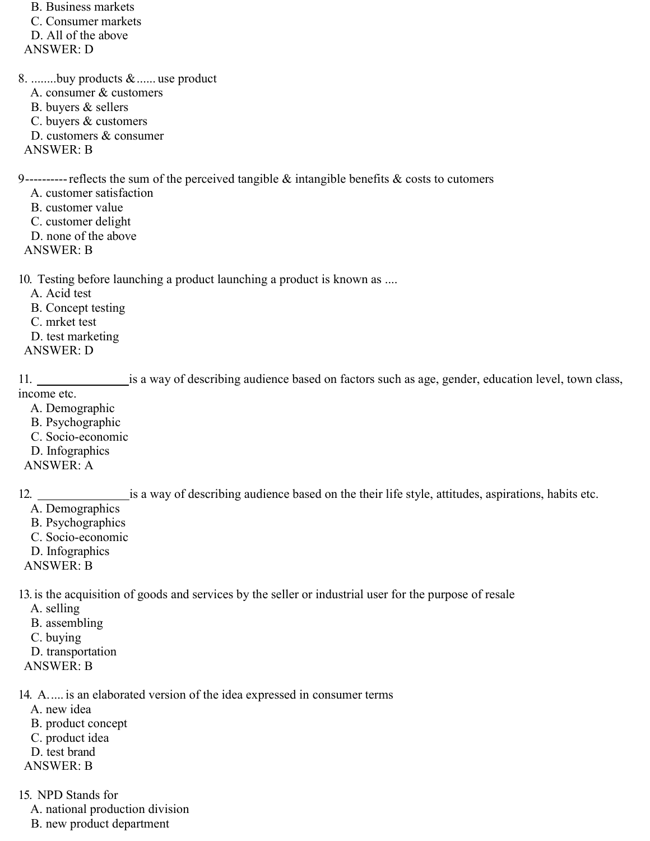B. Business markets C. Consumer markets D. All of the above ANSWER: D

8. ........buy products & ...... use product A. consumer & customers

- B. buyers & sellers
- C. buyers & customers
- D. customers & consumer
- ANSWER: B

9 ---------- reflects the sum of the perceived tangible & intangible benefits & costs to cutomers

- A. customer satisfaction
- B. customer value
- C. customer delight
- D. none of the above
- ANSWER: B

10. Testing before launching a product launching a product is known as ....

- A. Acid test
- B. Concept testing
- C. mrket test
- D. test marketing
- ANSWER: D

11. is a way of describing audience based on factors such as age, gender, education level, town class, income etc.

- A. Demographic
- B. Psychographic
- C. Socio-economic
- D. Infographics
- ANSWER: A

12. is a way of describing audience based on the their life style, attitudes, aspirations, habits etc.

- A. Demographics
- B. Psychographics
- C. Socio-economic
- D. Infographics
- ANSWER: B

13. is the acquisition of goods and services by the seller or industrial user for the purpose of resale

- A. selling
- B. assembling
- C. buying
- D. transportation
- ANSWER: B

14. A. .... is an elaborated version of the idea expressed in consumer terms

- A. new idea
- B. product concept
- C. product idea
- D. test brand
- ANSWER: B
- 15. NPD Stands for
	- A. national production division
	- B. new product department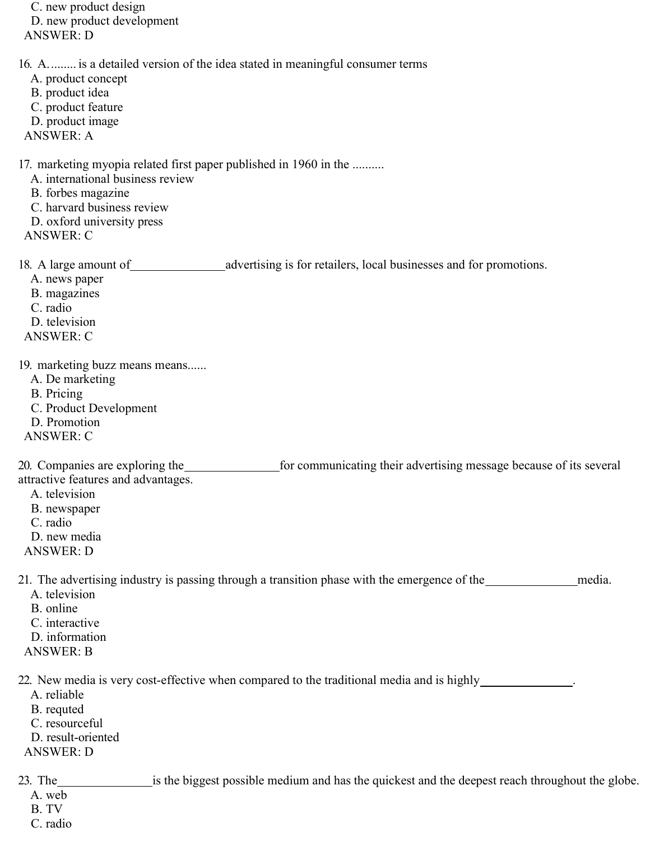C. new product design D. new product development ANSWER: D 16. A. ........ is a detailed version of the idea stated in meaningful consumer terms A. product concept B. product idea C. product feature D. product image ANSWER: A 17. marketing myopia related first paper published in 1960 in the .......... A. international business review B. forbes magazine C. harvard business review D. oxford university press ANSWER: C 18. A large amount of advertising is for retailers, local businesses and for promotions. A. news paper B. magazines C. radio D. television ANSWER: C 19. marketing buzz means means...... A. De marketing B. Pricing C. Product Development D. Promotion ANSWER: C 20. Companies are exploring the **for communicating their advertising message because of its several** attractive features and advantages. A. television B. newspaper C. radio D. new media ANSWER: D 21. The advertising industry is passing through a transition phase with the emergence of the media. A. television B. online C. interactive D. information ANSWER: B 22. New media is very cost-effective when compared to the traditional media and is highly \_\_\_\_\_\_\_\_\_\_\_\_. A. reliable B. requted C. resourceful D. result-oriented ANSWER: D 23. The is the biggest possible medium and has the quickest and the deepest reach throughout the globe. A. web B. TV

- C. radio
-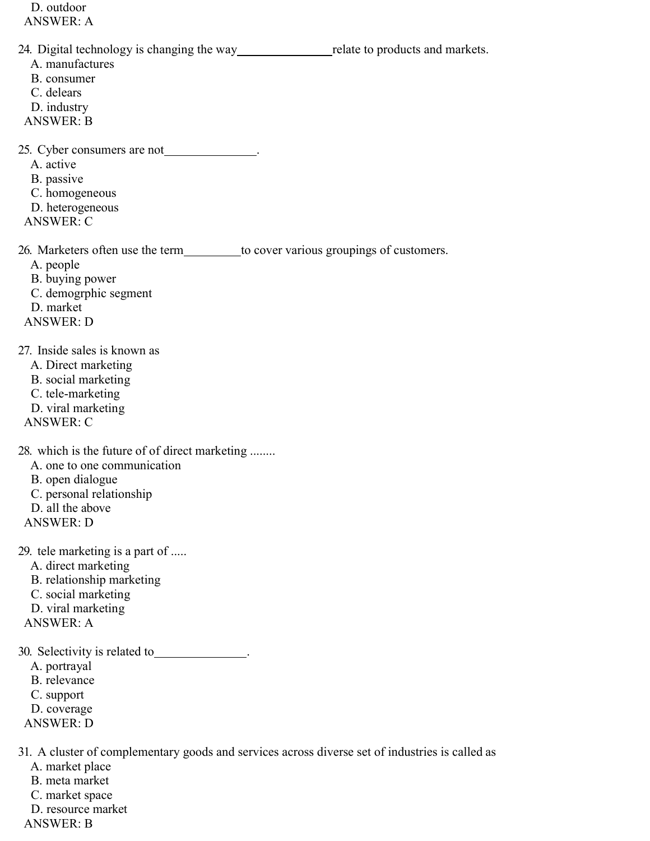D. outdoor ANSWER: A 24. Digital technology is changing the way relate to products and markets. A. manufactures B. consumer C. delears D. industry ANSWER: B 25. Cyber consumers are not \_\_\_\_\_\_\_\_\_\_\_\_\_. A. active B. passive C. homogeneous D. heterogeneous ANSWER: C 26. Marketers often use the term to cover various groupings of customers. A. people B. buying power C. demogrphic segment D. market ANSWER: D 27. Inside sales is known as A. Direct marketing B. social marketing C. tele-marketing D. viral marketing ANSWER: C 28. which is the future of of direct marketing ........ A. one to one communication B. open dialogue C. personal relationship D. all the above ANSWER: D 29. tele marketing is a part of ..... A. direct marketing B. relationship marketing C. social marketing D. viral marketing ANSWER: A 30. Selectivity is related to \_\_\_\_\_\_\_\_\_\_\_\_\_. A. portrayal B. relevance C. support D. coverage ANSWER: D 31. A cluster of complementary goods and services across diverse set of industries is called as A. market place

B. meta market C. market space D. resource market

ANSWER: B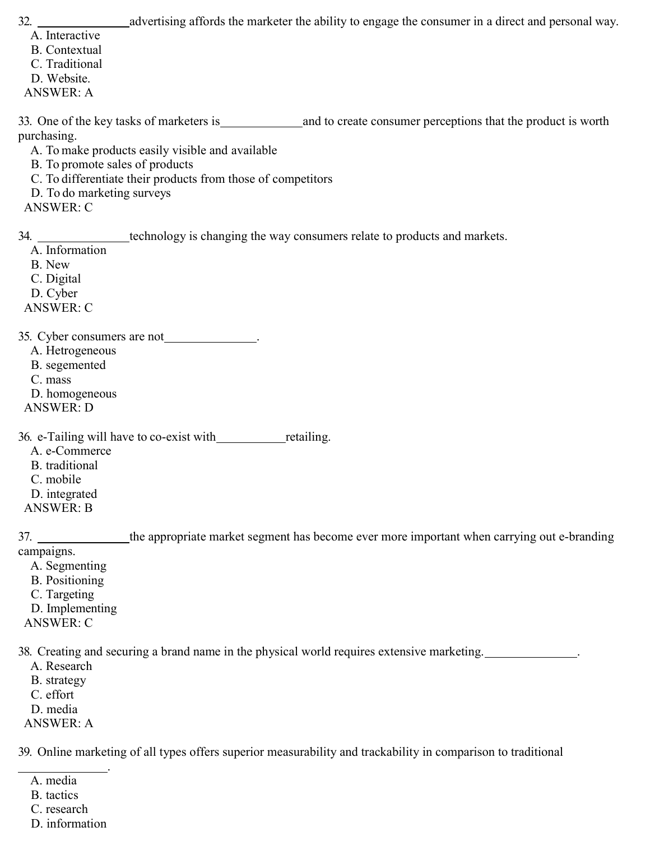32. **a advertising affords the marketer the ability to engage the consumer in a direct and personal way.** 

- A. Interactive
- B. Contextual
- C. Traditional
- D. Website.
- ANSWER: A

33. One of the key tasks of marketers is and to create consumer perceptions that the product is worth purchasing.

A. To make products easily visible and available

B. To promote sales of products

C. To differentiate their products from those of competitors

D. To do marketing surveys

ANSWER: C

34. <u>technology</u> is changing the way consumers relate to products and markets.

A. Information

B. New

C. Digital

D. Cyber

ANSWER: C

35. Cyber consumers are not .

A. Hetrogeneous

B. segemented

C. mass

D. homogeneous

ANSWER: D

36. e-Tailing will have to co-exist with retailing.

A. e-Commerce

B. traditional

C. mobile

D. integrated

ANSWER: B

37. the appropriate market segment has become ever more important when carrying out e-branding campaigns.

A. Segmenting B. Positioning C. Targeting D. Implementing ANSWER: C

38. Creating and securing a brand name in the physical world requires extensive marketing. .

A. Research

B. strategy

C. effort

D. media

ANSWER: A

39. Online marketing of all types offers superior measurability and trackability in comparison to traditional

 . A. media

B. tactics

C. research

D. information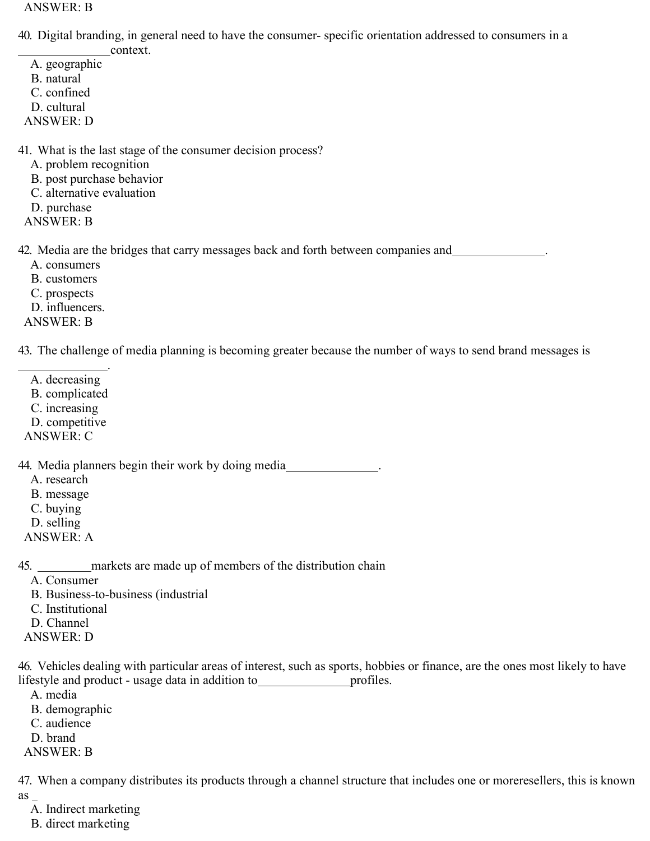ANSWER: B

- 40. Digital branding, in general need to have the consumer- specific orientation addressed to consumers in a
	- context.
	- A. geographic B. natural
	- C. confined
- D. cultural
- ANSWER: D
- 41. What is the last stage of the consumer decision process?
	- A. problem recognition
	- B. post purchase behavior
	- C. alternative evaluation
	- D. purchase
- ANSWER: B

42. Media are the bridges that carry messages back and forth between companies and \_\_\_\_\_\_\_\_\_\_\_\_.

- A. consumers
- B. customers
- C. prospects
- D. influencers.
- ANSWER: B

43. The challenge of media planning is becoming greater because the number of ways to send brand messages is

- . A. decreasing B. complicated C. increasing
- D. competitive ANSWER: C

44. Media planners begin their work by doing media .

- A. research
- B. message
- C. buying
- D. selling
- ANSWER: A

45. markets are made up of members of the distribution chain

- A. Consumer
- B. Business-to-business (industrial
- C. Institutional
- D. Channel
- ANSWER: D

46. Vehicles dealing with particular areas of interest, such as sports, hobbies or finance, are the ones most likely to have lifestyle and product - usage data in addition to profiles.

- A. media
- B. demographic
- C. audience
- D. brand
- ANSWER: B

47. When a company distributes its products through a channel structure that includes one or moreresellers, this is known as

- A. Indirect marketing
- B. direct marketing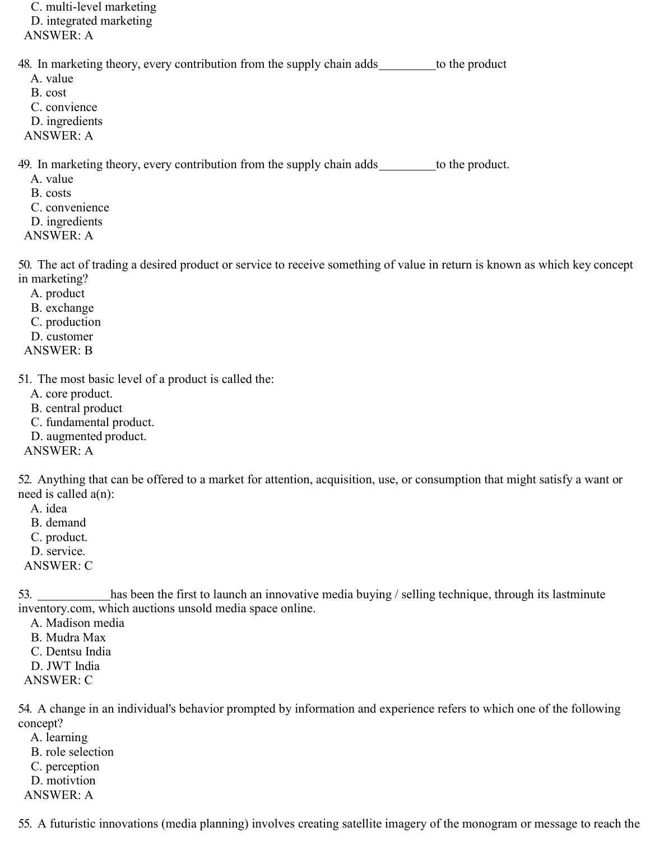C. multi-level marketing D. integrated marketing ANSWER: A 48. In marketing theory, every contribution from the supply chain adds \_\_\_\_\_\_\_\_\_ to the product A. value B. cost C. convience D. ingredients ANSWER: A 49. In marketing theory, every contribution from the supply chain adds \_\_\_\_\_\_\_\_ to the product. A. value B. costs C. convenience D. ingredients

50. The act of trading a desired product or service to receive something of value in return is known as which key concept in marketing?

A. product

ANSWER: A

- B. exchange
- C. production
- D. customer
- ANSWER: B

51. The most basic level of a product is called the:

- A. core product.
- B. central product
- C. fundamental product.
- D. augmented product.

ANSWER: A

52. Anything that can be offered to a market for attention, acquisition, use, or consumption that might satisfy a want or need is called a(n):

- A. idea
- B. demand
- C. product.
- D. service.
- ANSWER: C

53. has been the first to launch an innovative media buying / selling technique, through its lastminute inventory.com, which auctions unsold media space online.

- A. Madison media
- B. Mudra Max
- C. Dentsu India
- D. JWT India
- ANSWER: C

54. A change in an individual's behavior prompted by information and experience refers to which one of the following concept?

- A. learning B. role selection C. perception D. motivtion
- ANSWER: A

55. A futuristic innovations (media planning) involves creating satellite imagery of the monogram or message to reach the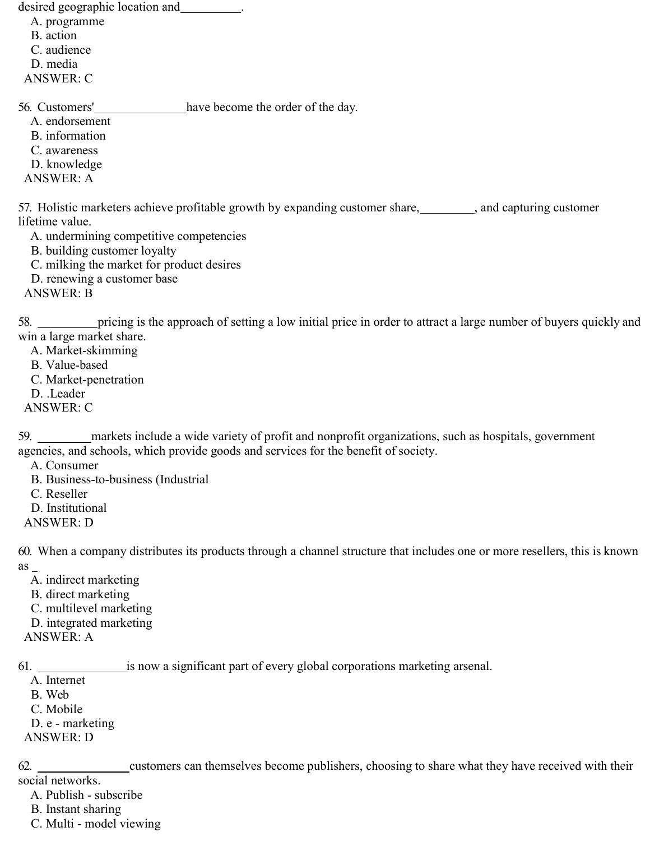desired geographic location and .

A. programme

B. action

C. audience

D. media

ANSWER: C

56. Customers' have become the order of the day.

A. endorsement

B. information

C. awareness

D. knowledge

ANSWER: A

57. Holistic marketers achieve profitable growth by expanding customer share, , and capturing customer lifetime value.

A. undermining competitive competencies

B. building customer loyalty

C. milking the market for product desires

D. renewing a customer base

ANSWER: B

58. pricing is the approach of setting a low initial price in order to attract a large number of buyers quickly and win a large market share.

A. Market-skimming

B. Value-based

C. Market-penetration

D. .Leader

ANSWER: C

59. markets include a wide variety of profit and nonprofit organizations, such as hospitals, government agencies, and schools, which provide goods and services for the benefit of society.

A. Consumer

B. Business-to-business (Industrial

C. Reseller

D. Institutional

ANSWER: D

60. When a company distributes its products through a channel structure that includes one or more resellers, this is known  $as_$ 

A. indirect marketing

B. direct marketing

C. multilevel marketing

D. integrated marketing

ANSWER: A

61. is now a significant part of every global corporations marketing arsenal.

A. Internet

B. Web

C. Mobile

D. e - marketing

ANSWER: D

62. customers can themselves become publishers, choosing to share what they have received with their

social networks.

A. Publish - subscribe

B. Instant sharing

C. Multi - model viewing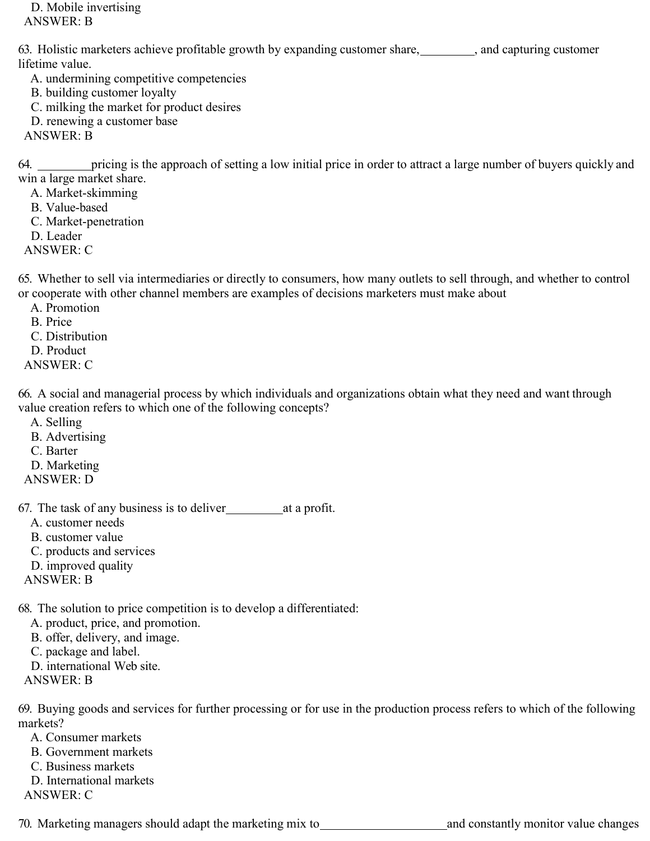D. Mobile invertising ANSWER: B

63. Holistic marketers achieve profitable growth by expanding customer share, and capturing customer lifetime value.

A. undermining competitive competencies B. building customer loyalty C. milking the market for product desires

D. renewing a customer base

ANSWER: B

64. pricing is the approach of setting a low initial price in order to attract a large number of buyers quickly and win a large market share.

A. Market-skimming

B. Value-based

- C. Market-penetration
- D. Leader

ANSWER: C

65. Whether to sell via intermediaries or directly to consumers, how many outlets to sell through, and whether to control or cooperate with other channel members are examples of decisions marketers must make about

A. Promotion

B. Price

C. Distribution

D. Product

ANSWER: C

66. A social and managerial process by which individuals and organizations obtain what they need and want through value creation refers to which one of the following concepts?

A. Selling B. Advertising

C. Barter

D. Marketing

ANSWER: D

67. The task of any business is to deliver at a profit.

A. customer needs

B. customer value

C. products and services

D. improved quality

ANSWER: B

68. The solution to price competition is to develop a differentiated:

A. product, price, and promotion.

B. offer, delivery, and image.

C. package and label.

D. international Web site.

ANSWER: B

69. Buying goods and services for further processing or for use in the production process refers to which of the following markets?

A. Consumer markets

B. Government markets

C. Business markets

D. International markets

ANSWER: C

70. Marketing managers should adapt the marketing mix to \_\_\_\_\_\_\_\_\_\_\_\_\_\_\_\_\_\_\_\_\_\_\_ and constantly monitor value changes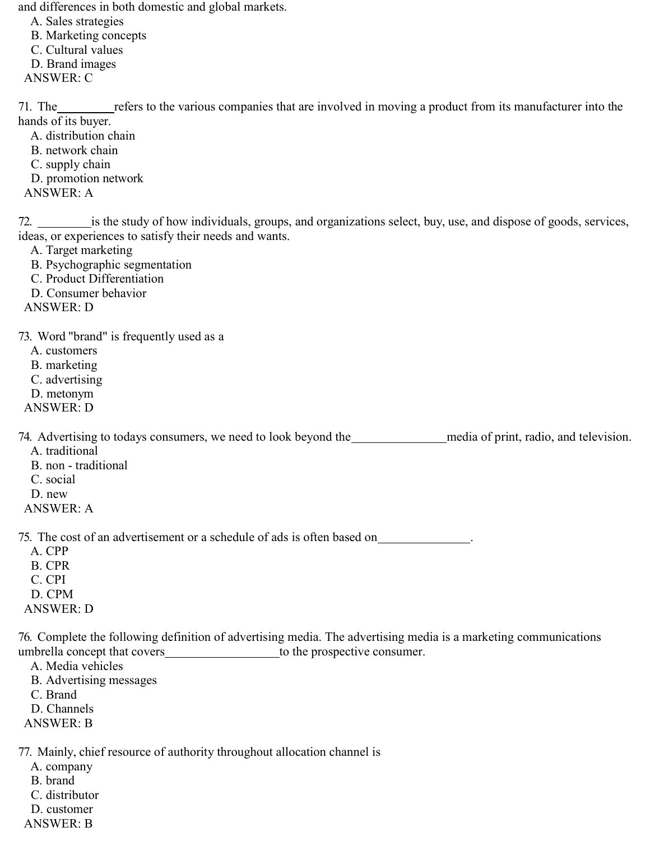and differences in both domestic and global markets.

- A. Sales strategies
- B. Marketing concepts
- C. Cultural values
- D. Brand images
- ANSWER: C

71. The refers to the various companies that are involved in moving a product from its manufacturer into the hands of its buyer.

- A. distribution chain
- B. network chain
- C. supply chain
- D. promotion network
- ANSWER: A

72. is the study of how individuals, groups, and organizations select, buy, use, and dispose of goods, services, ideas, or experiences to satisfy their needs and wants.

- A. Target marketing
- B. Psychographic segmentation
- C. Product Differentiation
- D. Consumer behavior
- ANSWER: D

73. Word "brand" is frequently used as a

- A. customers
- B. marketing
- C. advertising
- D. metonym
- ANSWER: D

74. Advertising to todays consumers, we need to look beyond the media of print, radio, and television. A. traditional

- B. non traditional
- C. social
- D. new
- ANSWER: A

75. The cost of an advertisement or a schedule of ads is often based on .

- A. CPP B. CPR C. CPI D. CPM
- ANSWER: D

76. Complete the following definition of advertising media. The advertising media is a marketing communications umbrella concept that covers to the prospective consumer.

- A. Media vehicles
- B. Advertising messages
- C. Brand
- D. Channels
- ANSWER: B

77. Mainly, chief resource of authority throughout allocation channel is

- A. company
- B. brand
- C. distributor
- D. customer
- ANSWER: B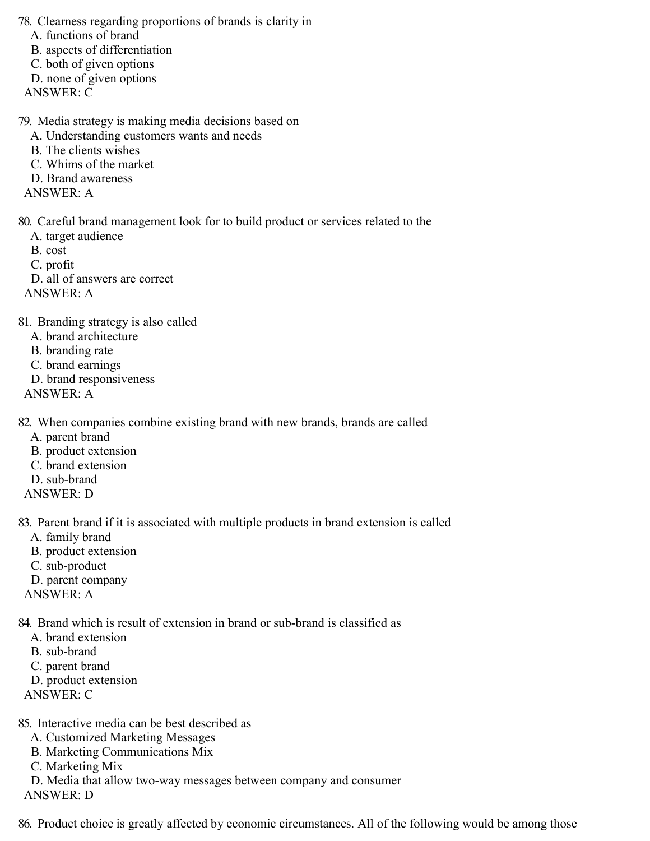78. Clearness regarding proportions of brands is clarity in

A. functions of brand

B. aspects of differentiation

C. both of given options

D. none of given options

ANSWER: C

79. Media strategy is making media decisions based on

- A. Understanding customers wants and needs
- B. The clients wishes
- C. Whims of the market
- D. Brand awareness

ANSWER: A

80. Careful brand management look for to build product or services related to the

- A. target audience
- B. cost

C. profit

D. all of answers are correct ANSWER: A

81. Branding strategy is also called

- A. brand architecture
- B. branding rate
- C. brand earnings
- D. brand responsiveness
- ANSWER: A

82. When companies combine existing brand with new brands, brands are called

- A. parent brand
- B. product extension
- C. brand extension
- D. sub-brand
- ANSWER: D

83. Parent brand if it is associated with multiple products in brand extension is called

- A. family brand
- B. product extension
- C. sub-product
- D. parent company
- ANSWER: A

84. Brand which is result of extension in brand or sub-brand is classified as

- A. brand extension
- B. sub-brand
- C. parent brand
- D. product extension
- ANSWER: C

85. Interactive media can be best described as

- A. Customized Marketing Messages
- B. Marketing Communications Mix
- C. Marketing Mix
- D. Media that allow two-way messages between company and consumer
- ANSWER: D

86. Product choice is greatly affected by economic circumstances. All of the following would be among those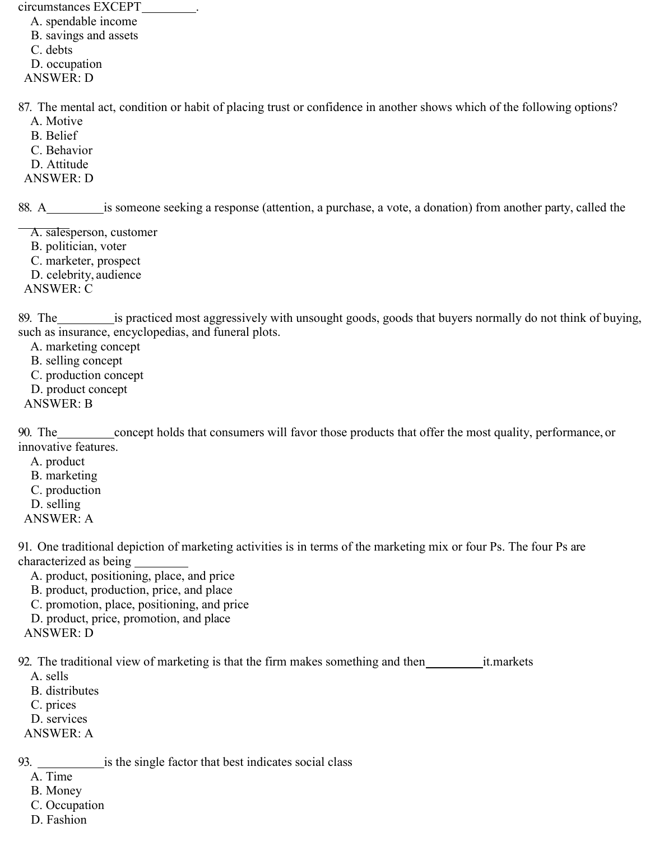circumstances EXCEPT .

A. spendable income B. savings and assets C. debts D. occupation ANSWER: D

87. The mental act, condition or habit of placing trust or confidence in another shows which of the following options?

- A. Motive
- B. Belief
- C. Behavior
- D. Attitude
- ANSWER: D

88. A is someone seeking a response (attention, a purchase, a vote, a donation) from another party, called the

- A. salesperson, customer
- B. politician, voter
- C. marketer, prospect
- D. celebrity, audience

ANSWER: C

89. The is practiced most aggressively with unsought goods, goods that buyers normally do not think of buying, such as insurance, encyclopedias, and funeral plots.

- A. marketing concept
- B. selling concept
- C. production concept
- D. product concept
- ANSWER: B

90. The concept holds that consumers will favor those products that offer the most quality, performance, or innovative features.

- A. product
- B. marketing
- C. production
- D. selling
- ANSWER: A

91. One traditional depiction of marketing activities is in terms of the marketing mix or four Ps. The four Ps are characterized as being

- A. product, positioning, place, and price
- B. product, production, price, and place
- C. promotion, place, positioning, and price
- D. product, price, promotion, and place
- ANSWER: D

92. The traditional view of marketing is that the firm makes something and then it.markets

- A. sells
- B. distributes
- C. prices
- D. services
- ANSWER: A

93. is the single factor that best indicates social class

- A. Time
- B. Money
- C. Occupation
- D. Fashion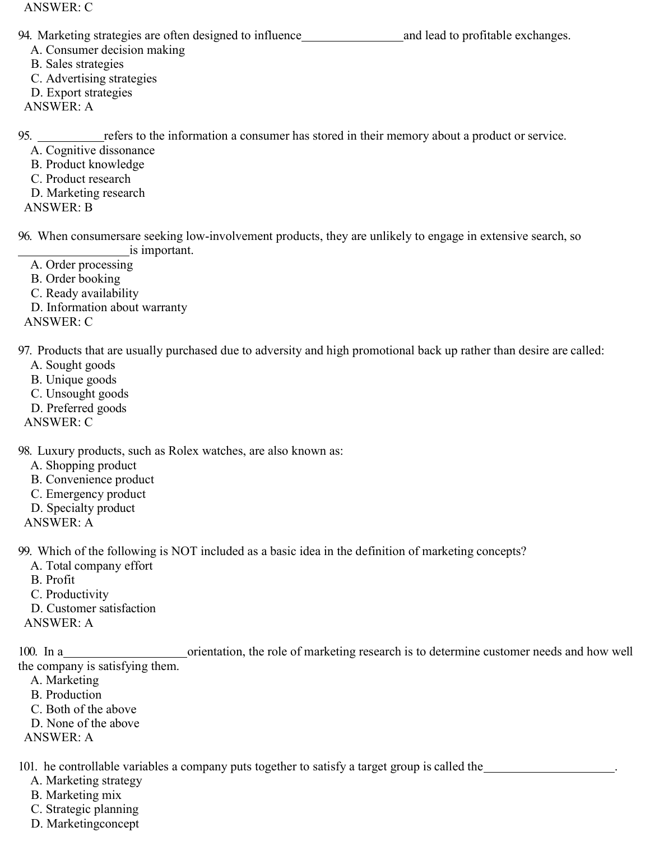ANSWER: C

94. Marketing strategies are often designed to influence and lead to profitable exchanges.

A. Consumer decision making

B. Sales strategies

C. Advertising strategies

D. Export strategies

ANSWER: A

95. <u>refers to the information a consumer has stored in their memory about a product or service</u>.

A. Cognitive dissonance

B. Product knowledge

C. Product research

D. Marketing research

ANSWER: B

96. When consumersare seeking low-involvement products, they are unlikely to engage in extensive search, so is important.

A. Order processing

B. Order booking

C. Ready availability

D. Information about warranty

ANSWER: C

97. Products that are usually purchased due to adversity and high promotional back up rather than desire are called:

A. Sought goods

B. Unique goods

C. Unsought goods

D. Preferred goods

ANSWER: C

98. Luxury products, such as Rolex watches, are also known as:

A. Shopping product

B. Convenience product

C. Emergency product

D. Specialty product

ANSWER: A

99. Which of the following is NOT included as a basic idea in the definition of marketing concepts?

A. Total company effort

B. Profit

C. Productivity

D. Customer satisfaction

ANSWER: A

100. In a corientation, the role of marketing research is to determine customer needs and how well the company is satisfying them.

A. Marketing

B. Production

C. Both of the above

D. None of the above

ANSWER: A

101. he controllable variables a company puts together to satisfy a target group is called the .

A. Marketing strategy

B. Marketing mix

C. Strategic planning

D. Marketingconcept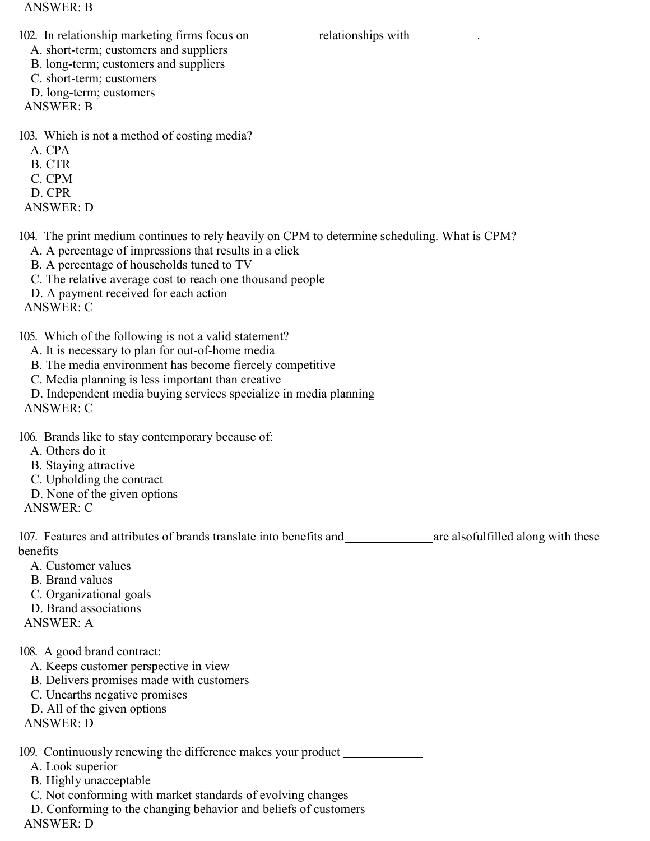ANSWER: B

102. In relationship marketing firms focus on relationships with relationships with relationships with the contract of the contract of the contract of the contract of the contract of the contract of the contract of the con

A. short-term; customers and suppliers

- B. long-term; customers and suppliers
- C. short-term; customers
- D. long-term; customers
- ANSWER: B

103. Which is not a method of costing media?

- A. CPA
- B. CTR
- C. CPM
- D. CPR
- ANSWER: D

104. The print medium continues to rely heavily on CPM to determine scheduling. What is CPM?

- A. A percentage of impressions that results in a click
- B. A percentage of households tuned to TV
- C. The relative average cost to reach one thousand people
- D. A payment received for each action

ANSWER: C

- 105. Which of the following is not a valid statement?
	- A. It is necessary to plan for out-of-home media
	- B. The media environment has become fiercely competitive
	- C. Media planning is less important than creative
	- D. Independent media buying services specialize in media planning

ANSWER: C

- 106. Brands like to stay contemporary because of:
	- A. Others do it
	- B. Staying attractive
	- C. Upholding the contract
	- D. None of the given options

ANSWER: C

107. Features and attributes of brands translate into benefits and are alsofulfilled along with these benefits

- A. Customer values
- B. Brand values
- C. Organizational goals
- D. Brand associations

ANSWER: A

- 108. A good brand contract:
	- A. Keeps customer perspective in view
	- B. Delivers promises made with customers
	- C. Unearths negative promises
	- D. All of the given options

ANSWER: D

109. Continuously renewing the difference makes your product

- A. Look superior
- B. Highly unacceptable
- C. Not conforming with market standards of evolving changes
- D. Conforming to the changing behavior and beliefs of customers

ANSWER: D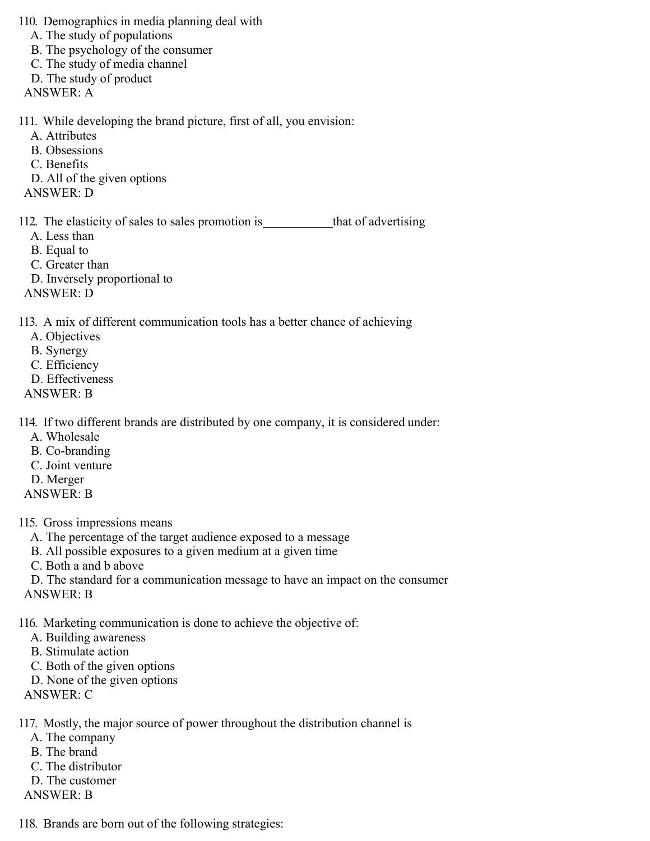110. Demographics in media planning deal with

- A. The study of populations
- B. The psychology of the consumer
- C. The study of media channel
- D. The study of product
- ANSWER: A

111. While developing the brand picture, first of all, you envision:

- A. Attributes
	- B. Obsessions
- C. Benefits
- D. All of the given options
- ANSWER: D

112. The elasticity of sales to sales promotion is \_\_\_\_\_\_\_\_\_\_\_\_\_that of advertising A. Less than

- B. Equal to
- C. Greater than
- D. Inversely proportional to
- ANSWER: D

113. A mix of different communication tools has a better chance of achieving

- A. Objectives
- B. Synergy
- C. Efficiency
- D. Effectiveness
- ANSWER: B

114. If two different brands are distributed by one company, it is considered under:

- A. Wholesale
- B. Co-branding
- C. Joint venture
- D. Merger
- ANSWER: B
- 115. Gross impressions means
	- A. The percentage of the target audience exposed to a message
	- B. All possible exposures to a given medium at a given time
	- C. Both a and b above
	- D. The standard for a communication message to have an impact on the consumer
- ANSWER: B
- 116. Marketing communication is done to achieve the objective of:
	- A. Building awareness
	- B. Stimulate action
	- C. Both of the given options
	- D. None of the given options
- ANSWER: C
- 117. Mostly, the major source of power throughout the distribution channel is
	- A. The company
	- B. The brand
	- C. The distributor
	- D. The customer
- ANSWER: B
- 118. Brands are born out of the following strategies: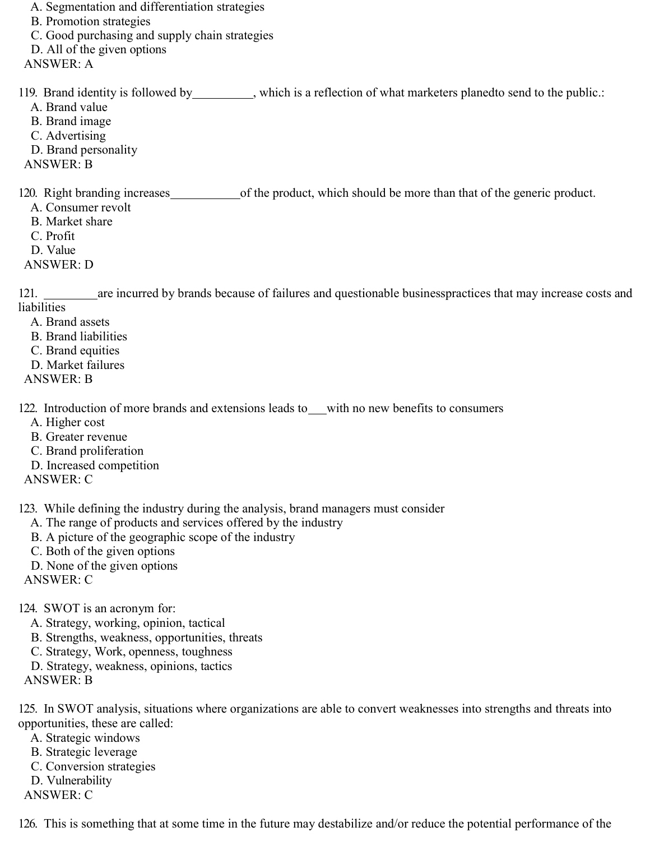A. Segmentation and differentiation strategies

B. Promotion strategies

C. Good purchasing and supply chain strategies

D. All of the given options

ANSWER: A

119. Brand identity is followed by \_\_\_\_\_\_\_\_\_, which is a reflection of what marketers planedto send to the public.:

- A. Brand value
- B. Brand image
- C. Advertising
- D. Brand personality
- ANSWER: B

120. Right branding increases of the product, which should be more than that of the generic product.

- A. Consumer revolt
- B. Market share
- C. Profit
- D. Value
- ANSWER: D

121. are incurred by brands because of failures and questionable businesspractices that may increase costs and liabilities

- A. Brand assets
- B. Brand liabilities
- C. Brand equities
- D. Market failures
- ANSWER: B

122. Introduction of more brands and extensions leads to with no new benefits to consumers

- A. Higher cost
- B. Greater revenue
- C. Brand proliferation
- D. Increased competition
- ANSWER: C

123. While defining the industry during the analysis, brand managers must consider

- A. The range of products and services offered by the industry
- B. A picture of the geographic scope of the industry
- C. Both of the given options
- D. None of the given options
- ANSWER: C
- 124. SWOT is an acronym for:
	- A. Strategy, working, opinion, tactical
	- B. Strengths, weakness, opportunities, threats
	- C. Strategy, Work, openness, toughness
	- D. Strategy, weakness, opinions, tactics
- ANSWER: B

125. In SWOT analysis, situations where organizations are able to convert weaknesses into strengths and threats into opportunities, these are called:

- A. Strategic windows B. Strategic leverage
- C. Conversion strategies
- D. Vulnerability
- ANSWER: C

126. This is something that at some time in the future may destabilize and/or reduce the potential performance of the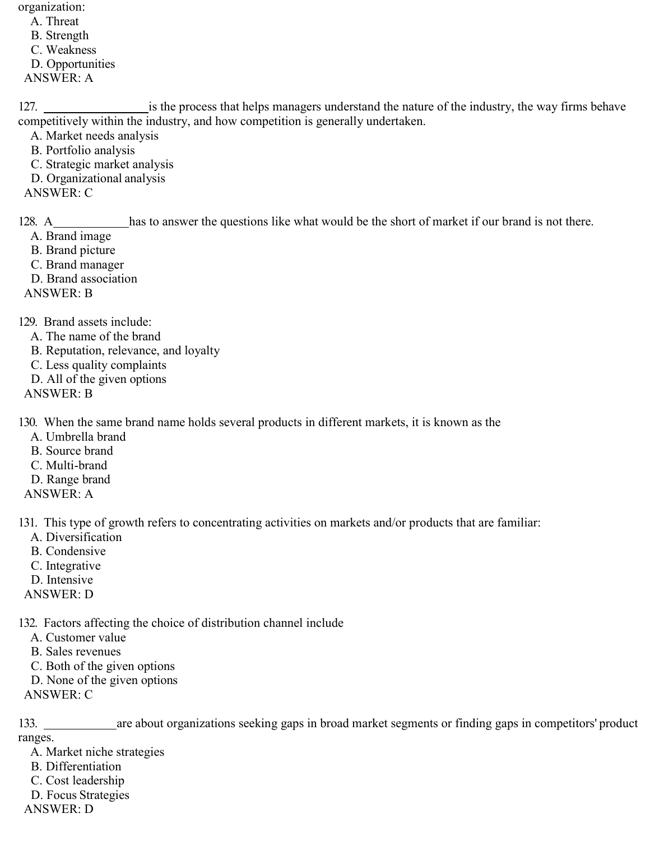organization:

A. Threat B. Strength C. Weakness D. Opportunities

ANSWER: A

127. **is the process that helps managers understand the nature of the industry, the way firms behave** competitively within the industry, and how competition is generally undertaken.

- A. Market needs analysis
- B. Portfolio analysis
- C. Strategic market analysis
- D. Organizational analysis

ANSWER: C

128. A\_\_\_\_\_\_\_\_\_\_\_\_has to answer the questions like what would be the short of market if our brand is not there.

- A. Brand image
- B. Brand picture
- C. Brand manager
- D. Brand association

ANSWER: B

129. Brand assets include:

- A. The name of the brand
- B. Reputation, relevance, and loyalty
- C. Less quality complaints
- D. All of the given options
- ANSWER: B

130. When the same brand name holds several products in different markets, it is known as the

- A. Umbrella brand
- B. Source brand
- C. Multi-brand
- D. Range brand
- ANSWER: A

131. This type of growth refers to concentrating activities on markets and/or products that are familiar:

- A. Diversification
- B. Condensive
- C. Integrative
- D. Intensive
- ANSWER: D

132. Factors affecting the choice of distribution channel include

- A. Customer value
- B. Sales revenues
- C. Both of the given options
- D. None of the given options

ANSWER: C

133. \_\_\_\_\_\_\_\_\_\_\_\_\_ are about organizations seeking gaps in broad market segments or finding gaps in competitors' product ranges.

- A. Market niche strategies
- B. Differentiation
- C. Cost leadership
- D. Focus Strategies
- ANSWER: D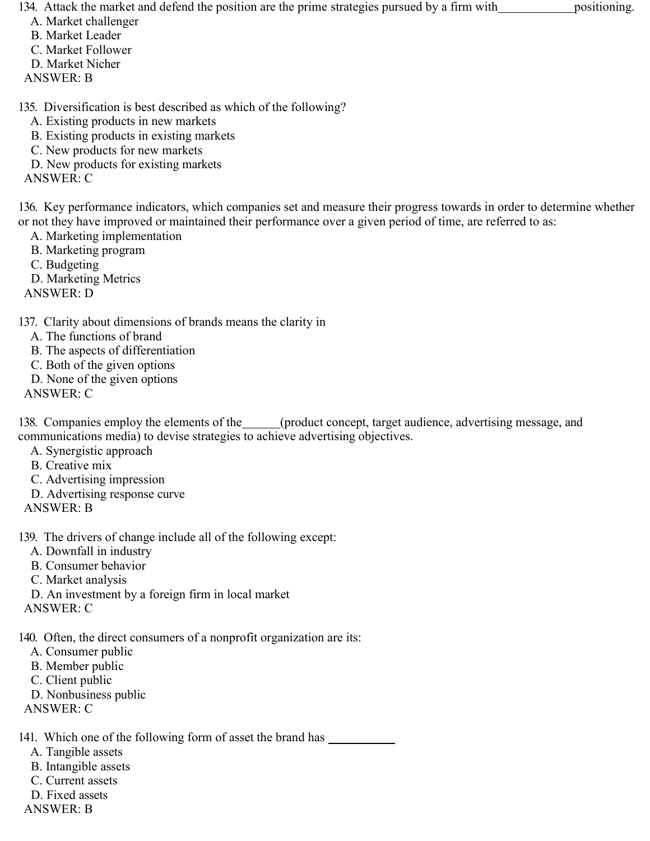134. Attack the market and defend the position are the prime strategies pursued by a firm with positioning.

- A. Market challenger
- B. Market Leader
- C. Market Follower
- D. Market Nicher
- ANSWER: B

135. Diversification is best described as which of the following?

- A. Existing products in new markets
- B. Existing products in existing markets
- C. New products for new markets
- D. New products for existing markets
- ANSWER: C

136. Key performance indicators, which companies set and measure their progress towards in order to determine whether or not they have improved or maintained their performance over a given period of time, are referred to as:

- A. Marketing implementation
- B. Marketing program
- C. Budgeting
- D. Marketing Metrics

ANSWER: D

## 137. Clarity about dimensions of brands means the clarity in

- A. The functions of brand
- B. The aspects of differentiation
- C. Both of the given options
- D. None of the given options
- ANSWER: C

138. Companies employ the elements of the (product concept, target audience, advertising message, and communications media) to devise strategies to achieve advertising objectives.

- A. Synergistic approach
- B. Creative mix
- C. Advertising impression
- D. Advertising response curve
- ANSWER: B

139. The drivers of change include all of the following except:

- A. Downfall in industry
- B. Consumer behavior
- C. Market analysis
- D. An investment by a foreign firm in local market
- ANSWER: C

140. Often, the direct consumers of a nonprofit organization are its:

- A. Consumer public
- B. Member public
- C. Client public
- D. Nonbusiness public
- ANSWER: C

141. Which one of the following form of asset the brand has

- A. Tangible assets
- B. Intangible assets
- C. Current assets
- D. Fixed assets
- ANSWER: B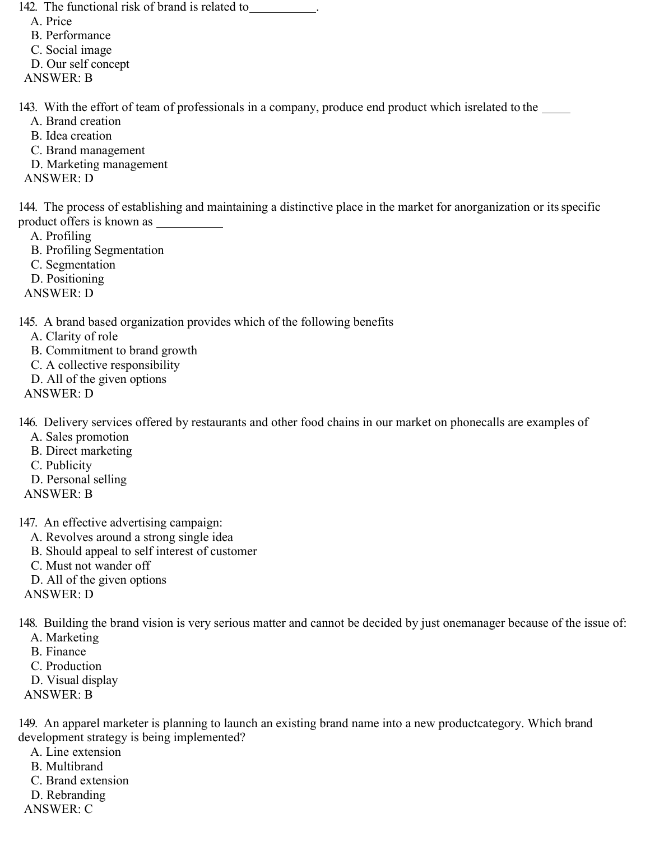142. The functional risk of brand is related to \_\_\_\_\_\_\_

- A. Price
- B. Performance
- C. Social image
- D. Our self concept
- ANSWER: B

143. With the effort of team of professionals in a company, produce end product which isrelated to the

- A. Brand creation
- B. Idea creation
- C. Brand management
- D. Marketing management
- ANSWER: D

144. The process of establishing and maintaining a distinctive place in the market for anorganization or its specific product offers is known as

- A. Profiling
- B. Profiling Segmentation
- C. Segmentation
- D. Positioning
- ANSWER: D

145. A brand based organization provides which of the following benefits

- A. Clarity of role
- B. Commitment to brand growth
- C. A collective responsibility
- D. All of the given options
- ANSWER: D

146. Delivery services offered by restaurants and other food chains in our market on phonecalls are examples of

- A. Sales promotion
- B. Direct marketing
- C. Publicity
- D. Personal selling
- ANSWER: B
- 147. An effective advertising campaign:
	- A. Revolves around a strong single idea
	- B. Should appeal to self interest of customer
	- C. Must not wander off
	- D. All of the given options
- ANSWER: D

148. Building the brand vision is very serious matter and cannot be decided by just onemanager because of the issue of:

- A. Marketing
- B. Finance
- C. Production
- D. Visual display
- ANSWER: B

149. An apparel marketer is planning to launch an existing brand name into a new productcategory. Which brand development strategy is being implemented?

- A. Line extension
- B. Multibrand
- C. Brand extension
- D. Rebranding
- ANSWER: C